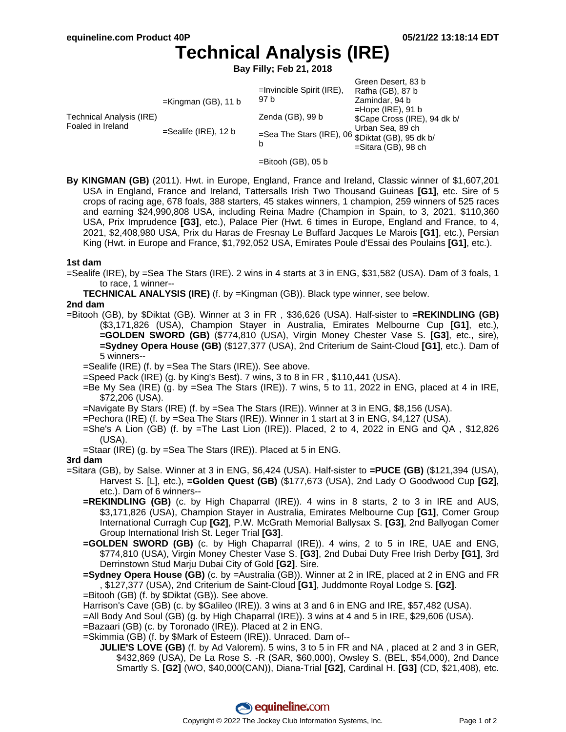# **Technical Analysis (IRE)**

**Bay Filly; Feb 21, 2018**

| Technical Analysis (IRE)<br>Foaled in Ireland | $=$ Kingman (GB), 11 b  | $=$ Invincible Spirit (IRE),<br>97 b                                                    | Green Desert, 83 b<br>Rafha (GB), 87 b<br>Zamindar, 94 b<br>$=$ Hope (IRE), 91 b<br>\$Cape Cross (IRE), 94 dk b/<br>Urban Sea, 89 ch<br>$=$ Sitara (GB), 98 ch |
|-----------------------------------------------|-------------------------|-----------------------------------------------------------------------------------------|----------------------------------------------------------------------------------------------------------------------------------------------------------------|
|                                               | $=$ Sealife (IRE), 12 b | Zenda (GB), 99 b<br>=Sea The Stars (IRE), 06 $\overline{\$}$ Diktat (GB), 95 dk b/<br>b |                                                                                                                                                                |

- =Bitooh (GB), 05 b
- **By KINGMAN (GB)** (2011). Hwt. in Europe, England, France and Ireland, Classic winner of \$1,607,201 USA in England, France and Ireland, Tattersalls Irish Two Thousand Guineas **[G1]**, etc. Sire of 5 crops of racing age, 678 foals, 388 starters, 45 stakes winners, 1 champion, 259 winners of 525 races and earning \$24,990,808 USA, including Reina Madre (Champion in Spain, to 3, 2021, \$110,360 USA, Prix Imprudence **[G3]**, etc.), Palace Pier (Hwt. 6 times in Europe, England and France, to 4, 2021, \$2,408,980 USA, Prix du Haras de Fresnay Le Buffard Jacques Le Marois **[G1]**, etc.), Persian King (Hwt. in Europe and France, \$1,792,052 USA, Emirates Poule d'Essai des Poulains **[G1]**, etc.).

#### **1st dam**

=Sealife (IRE), by =Sea The Stars (IRE). 2 wins in 4 starts at 3 in ENG, \$31,582 (USA). Dam of 3 foals, 1 to race, 1 winner--

**TECHNICAL ANALYSIS (IRE)** (f. by =Kingman (GB)). Black type winner, see below.

### **2nd dam**

=Bitooh (GB), by \$Diktat (GB). Winner at 3 in FR , \$36,626 (USA). Half-sister to **=REKINDLING (GB)** (\$3,171,826 (USA), Champion Stayer in Australia, Emirates Melbourne Cup **[G1]**, etc.), **=GOLDEN SWORD (GB)** (\$774,810 (USA), Virgin Money Chester Vase S. **[G3]**, etc., sire), **=Sydney Opera House (GB)** (\$127,377 (USA), 2nd Criterium de Saint-Cloud **[G1]**, etc.). Dam of 5 winners--

=Sealife (IRE) (f. by =Sea The Stars (IRE)). See above.

- =Speed Pack (IRE) (g. by King's Best). 7 wins, 3 to 8 in FR , \$110,441 (USA).
- =Be My Sea (IRE) (g. by =Sea The Stars (IRE)). 7 wins, 5 to 11, 2022 in ENG, placed at 4 in IRE, \$72,206 (USA).
- =Navigate By Stars (IRE) (f. by =Sea The Stars (IRE)). Winner at 3 in ENG, \$8,156 (USA).
- =Pechora (IRE) (f. by =Sea The Stars (IRE)). Winner in 1 start at 3 in ENG, \$4,127 (USA).
- =She's A Lion (GB) (f. by =The Last Lion (IRE)). Placed, 2 to 4, 2022 in ENG and QA , \$12,826 (USA).
- =Staar (IRE) (g. by =Sea The Stars (IRE)). Placed at 5 in ENG.

#### **3rd dam**

- =Sitara (GB), by Salse. Winner at 3 in ENG, \$6,424 (USA). Half-sister to **=PUCE (GB)** (\$121,394 (USA), Harvest S. [L], etc.), **=Golden Quest (GB)** (\$177,673 (USA), 2nd Lady O Goodwood Cup **[G2]**, etc.). Dam of 6 winners--
	- **=REKINDLING (GB)** (c. by High Chaparral (IRE)). 4 wins in 8 starts, 2 to 3 in IRE and AUS, \$3,171,826 (USA), Champion Stayer in Australia, Emirates Melbourne Cup **[G1]**, Comer Group International Curragh Cup **[G2]**, P.W. McGrath Memorial Ballysax S. **[G3]**, 2nd Ballyogan Comer Group International Irish St. Leger Trial **[G3]**.
	- **=GOLDEN SWORD (GB)** (c. by High Chaparral (IRE)). 4 wins, 2 to 5 in IRE, UAE and ENG, \$774,810 (USA), Virgin Money Chester Vase S. **[G3]**, 2nd Dubai Duty Free Irish Derby **[G1]**, 3rd Derrinstown Stud Marju Dubai City of Gold **[G2]**. Sire.
	- **=Sydney Opera House (GB)** (c. by =Australia (GB)). Winner at 2 in IRE, placed at 2 in ENG and FR , \$127,377 (USA), 2nd Criterium de Saint-Cloud **[G1]**, Juddmonte Royal Lodge S. **[G2]**.
	- =Bitooh (GB) (f. by \$Diktat (GB)). See above.
	- Harrison's Cave (GB) (c. by \$Galileo (IRE)). 3 wins at 3 and 6 in ENG and IRE, \$57,482 (USA).
	- =All Body And Soul (GB) (g. by High Chaparral (IRE)). 3 wins at 4 and 5 in IRE, \$29,606 (USA).
	- =Bazaari (GB) (c. by Toronado (IRE)). Placed at 2 in ENG.
	- =Skimmia (GB) (f. by \$Mark of Esteem (IRE)). Unraced. Dam of--
		- **JULIE'S LOVE (GB)** (f. by Ad Valorem). 5 wins, 3 to 5 in FR and NA , placed at 2 and 3 in GER, \$432,869 (USA), De La Rose S. -R (SAR, \$60,000), Owsley S. (BEL, \$54,000), 2nd Dance Smartly S. **[G2]** (WO, \$40,000(CAN)), Diana-Trial **[G2]**, Cardinal H. **[G3]** (CD, \$21,408), etc.